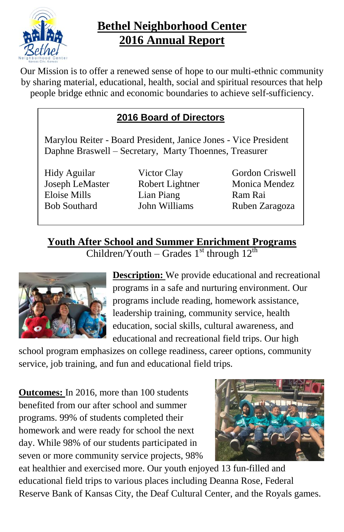

# **Bethel Neighborhood Center 2016 Annual Report**

Our Mission is to offer a renewed sense of hope to our multi-ethnic community by sharing material, educational, health, social and spiritual resources that help people bridge ethnic and economic boundaries to achieve self-sufficiency.

## **2016 Board of Directors**

Marylou Reiter - Board President, Janice Jones - Vice President Daphne Braswell – Secretary, Marty Thoennes, Treasurer

Hidy Aguilar Victor Clay Gordon Criswell Joseph LeMaster Robert Lightner Monica Mendez Eloise Mills Lian Piang Ram Rai Bob Southard John Williams Ruben Zaragoza

**Youth After School and Summer Enrichment Programs** Children/Youth – Grades  $1<sup>st</sup>$  through  $12<sup>th</sup>$ 



**Description:** We provide educational and recreational programs in a safe and nurturing environment. Our programs include reading, homework assistance, leadership training, community service, health education, social skills, cultural awareness, and educational and recreational field trips. Our high

school program emphasizes on college readiness, career options, community service, job training, and fun and educational field trips.

**Outcomes:** In 2016, more than 100 students benefited from our after school and summer programs. 99% of students completed their homework and were ready for school the next day. While 98% of our students participated in seven or more community service projects, 98%



eat healthier and exercised more. Our youth enjoyed 13 fun-filled and educational field trips to various places including Deanna Rose, Federal Reserve Bank of Kansas City, the Deaf Cultural Center, and the Royals games.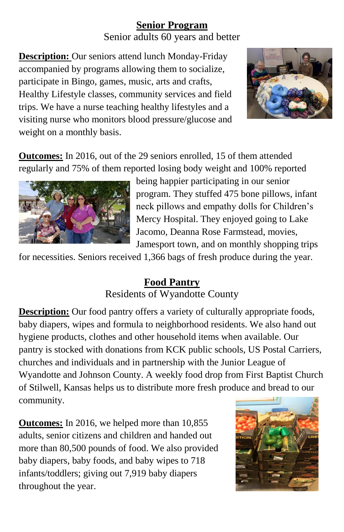## **Senior Program**

Senior adults 60 years and better

**Description:** Our seniors attend lunch Monday-Friday accompanied by programs allowing them to socialize, participate in Bingo, games, music, arts and crafts, Healthy Lifestyle classes, community services and field trips. We have a nurse teaching healthy lifestyles and a visiting nurse who monitors blood pressure/glucose and weight on a monthly basis.



**Outcomes:** In 2016, out of the 29 seniors enrolled, 15 of them attended regularly and 75% of them reported losing body weight and 100% reported



being happier participating in our senior program. They stuffed 475 bone pillows, infant neck pillows and empathy dolls for Children's Mercy Hospital. They enjoyed going to Lake Jacomo, Deanna Rose Farmstead, movies, Jamesport town, and on monthly shopping trips

for necessities. Seniors received 1,366 bags of fresh produce during the year.

## **Food Pantry** Residents of Wyandotte County

**Description:** Our food pantry offers a variety of culturally appropriate foods, baby diapers, wipes and formula to neighborhood residents. We also hand out hygiene products, clothes and other household items when available. Our pantry is stocked with donations from KCK public schools, US Postal Carriers, churches and individuals and in partnership with the Junior League of Wyandotte and Johnson County. A weekly food drop from First Baptist Church of Stilwell, Kansas helps us to distribute more fresh produce and bread to our community.

**Outcomes:** In 2016, we helped more than 10,855 adults, senior citizens and children and handed out more than 80,500 pounds of food. We also provided baby diapers, baby foods, and baby wipes to 718 infants/toddlers; giving out 7,919 baby diapers throughout the year.

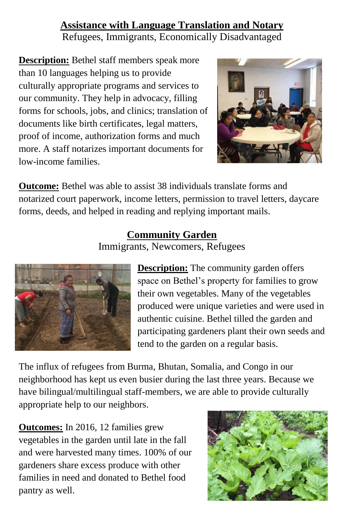#### **Assistance with Language Translation and Notary** Refugees, Immigrants, Economically Disadvantaged

**Description:** Bethel staff members speak more than 10 languages helping us to provide culturally appropriate programs and services to our community. They help in advocacy, filling forms for schools, jobs, and clinics; translation of documents like birth certificates, legal matters, proof of income, authorization forms and much more. A staff notarizes important documents for low-income families.



**Outcome:** Bethel was able to assist 38 individuals translate forms and notarized court paperwork, income letters, permission to travel letters, daycare forms, deeds, and helped in reading and replying important mails.

## **Community Garden**

Immigrants, Newcomers, Refugees



**Description:** The community garden offers space on Bethel's property for families to grow their own vegetables. Many of the vegetables produced were unique varieties and were used in authentic cuisine. Bethel tilled the garden and participating gardeners plant their own seeds and tend to the garden on a regular basis.

The influx of refugees from Burma, Bhutan, Somalia, and Congo in our neighborhood has kept us even busier during the last three years. Because we have bilingual/multilingual staff-members, we are able to provide culturally appropriate help to our neighbors.

**Outcomes:** In 2016, 12 families grew vegetables in the garden until late in the fall and were harvested many times. 100% of our gardeners share excess produce with other families in need and donated to Bethel food pantry as well.

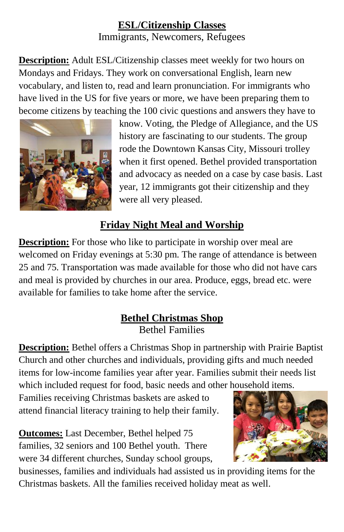#### **ESL/Citizenship Classes** Immigrants, Newcomers, Refugees

**Description:** Adult ESL/Citizenship classes meet weekly for two hours on Mondays and Fridays. They work on conversational English, learn new vocabulary, and listen to, read and learn pronunciation. For immigrants who have lived in the US for five years or more, we have been preparing them to become citizens by teaching the 100 civic questions and answers they have to



know. Voting, the Pledge of Allegiance, and the US history are fascinating to our students. The group rode the Downtown Kansas City, Missouri trolley when it first opened. Bethel provided transportation and advocacy as needed on a case by case basis. Last year, 12 immigrants got their citizenship and they were all very pleased.

## **Friday Night Meal and Worship**

**Description:** For those who like to participate in worship over meal are welcomed on Friday evenings at 5:30 pm. The range of attendance is between 25 and 75. Transportation was made available for those who did not have cars and meal is provided by churches in our area. Produce, eggs, bread etc. were available for families to take home after the service.

## **Bethel Christmas Shop** Bethel Families

**Description:** Bethel offers a Christmas Shop in partnership with Prairie Baptist Church and other churches and individuals, providing gifts and much needed items for low-income families year after year. Families submit their needs list which included request for food, basic needs and other household items.

Families receiving Christmas baskets are asked to attend financial literacy training to help their family.

**Outcomes:** Last December, Bethel helped 75 families, 32 seniors and 100 Bethel youth. There were 34 different churches, Sunday school groups,



businesses, families and individuals had assisted us in providing items for the Christmas baskets. All the families received holiday meat as well.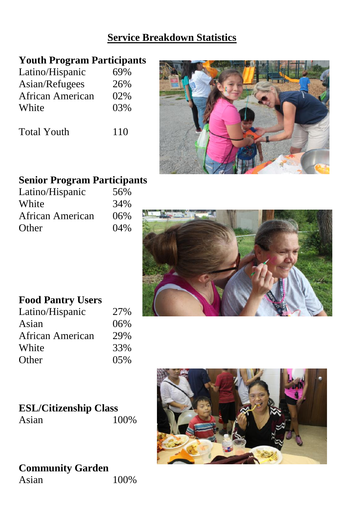#### **Service Breakdown Statistics**

#### **Youth Program Participants**

| Latino/Hispanic  | 69% |
|------------------|-----|
| Asian/Refugees   | 26% |
| African American | 02% |
| White            | 03% |
|                  |     |

Total Youth 110



## **Senior Program Participants**

| Latino/Hispanic  | 56% |
|------------------|-----|
| White            | 34% |
| African American | 06% |
| Other            | 04% |



## **Food Pantry Users**

| Latino/Hispanic  | 27% |
|------------------|-----|
| Asian            | 06% |
| African American | 29% |
| White            | 33% |
| Other            | 05% |

# **ESL/Citizenship Class**





#### **Community Garden**  Asian 100%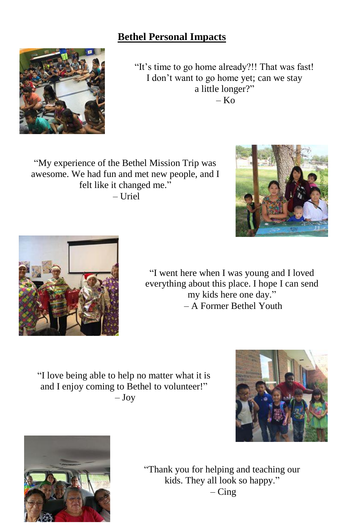#### **Bethel Personal Impacts**

"It's time to go home already?!! That was fast! I don't want to go home yet; can we stay a little longer?"  $-$  Ko

"My experience of the Bethel Mission Trip was awesome. We had fun and met new people, and I felt like it changed me." – Uriel



"I love being able to help no matter what it is and I enjoy coming to Bethel to volunteer!" – Joy









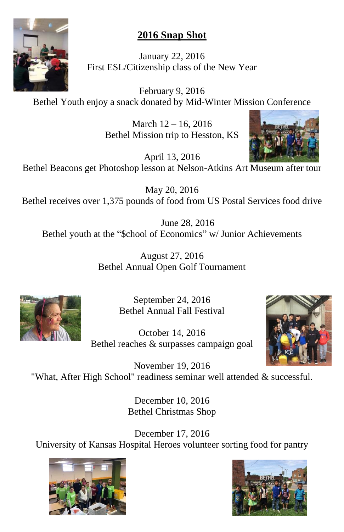

# **2016 Snap Shot**

January 22, 2016 First ESL/Citizenship class of the New Year

February 9, 2016 Bethel Youth enjoy a snack donated by Mid-Winter Mission Conference

> March 12 – 16, 2016 Bethel Mission trip to Hesston, KS



April 13, 2016 Bethel Beacons get Photoshop lesson at Nelson-Atkins Art Museum after tour

May 20, 2016 Bethel receives over 1,375 pounds of food from US Postal Services food drive

June 28, 2016 Bethel youth at the "\$chool of Economics" w/ Junior Achievements

> August 27, 2016 Bethel Annual Open Golf Tournament



September 24, 2016 Bethel Annual Fall Festival

October 14, 2016 Bethel reaches & surpasses campaign goal



November 19, 2016 "What, After High School" readiness seminar well attended & successful.

> December 10, 2016 Bethel Christmas Shop

December 17, 2016 University of Kansas Hospital Heroes volunteer sorting food for pantry